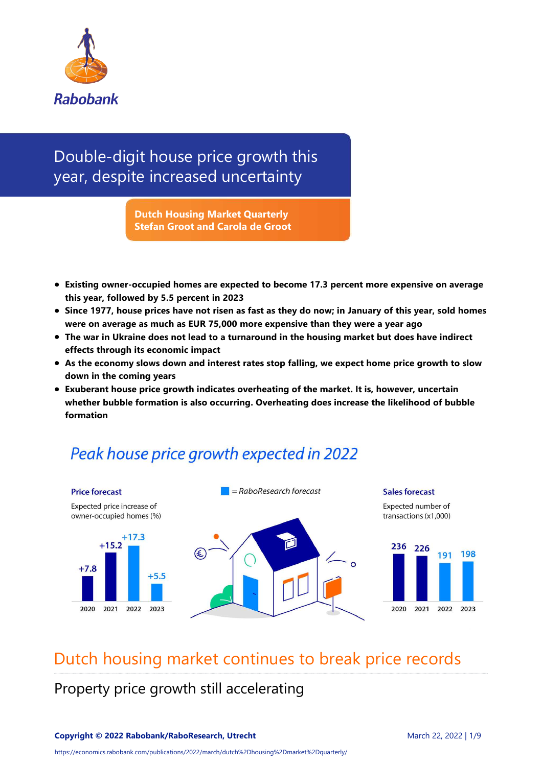

## Double‐digit house price growth this year, despite increased uncertainty

**Dutch Housing Market Quarterly Stefan Groot and Carola de Groot**

- **Existing owner‐occupied homes are expected to become 17.3 percent more expensive on average this year, followed by 5.5 percent in 2023**
- **Since 1977, house prices have not risen as fast as they do now; in January of this year, sold homes were on average as much as EUR 75,000 more expensive than they were a year ago**
- **The war in Ukraine does not lead to a turnaround in the housing market but does have indirect effects through its economic impact**
- **As the economy slows down and interest rates stop falling, we expect home price growth to slow down in the coming years**
- **Exuberant house price growth indicates overheating of the market. It is, however, uncertain whether bubble formation is also occurring. Overheating does increase the likelihood of bubble formation**

## Peak house price growth expected in 2022



## Dutch housing market continues to break price records

Property price growth still accelerating

https://economics.rabobank.com/publications/2022/march/dutch%2Dhousing%2Dmarket%2Dquarterly/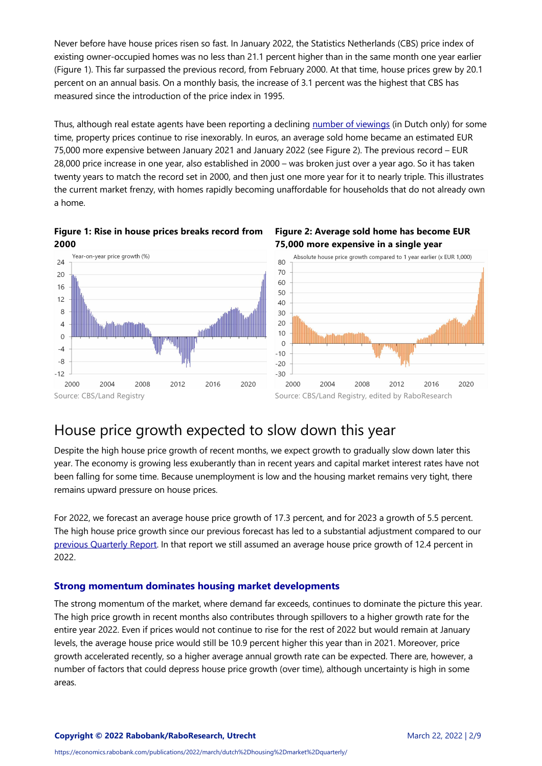Never before have house prices risen so fast. In January 2022, the Statistics Netherlands (CBS) price index of existing owner‐occupied homes was no less than 21.1 percent higher than in the same month one year earlier (Figure 1). This far surpassed the previous record, from February 2000. At that time, house prices grew by 20.1 percent on an annual basis. On a monthly basis, the increase of 3.1 percent was the highest that CBS has measured since the introduction of the price index in 1995.

Thus, although real estate agents have been reporting a declining [number of viewings](https://www.ad.nl/wonen/steeds-kleinere-groep-huizenkopers-betaalt-de-hoofdprijs-sprake-van-opjutgedrag~a314609b/) (in Dutch only) for some time, property prices continue to rise inexorably. In euros, an average sold home became an estimated EUR 75,000 more expensive between January 2021 and January 2022 (see Figure 2). The previous record – EUR 28,000 price increase in one year, also established in 2000 – was broken just over a year ago. So it has taken twenty years to match the record set in 2000, and then just one more year for it to nearly triple. This illustrates the current market frenzy, with homes rapidly becoming unaffordable for households that do not already own a home.









### House price growth expected to slow down this year

Despite the high house price growth of recent months, we expect growth to gradually slow down later this year. The economy is growing less exuberantly than in recent years and capital market interest rates have not been falling for some time. Because unemployment is low and the housing market remains very tight, there remains upward pressure on house prices.

For 2022, we forecast an average house price growth of 17.3 percent, and for 2023 a growth of 5.5 percent. The high house price growth since our previous forecast has led to a substantial adjustment compared to our [previous Quarterly Report](https://economics.rabobank.com/publications/2021/december/price-growth-hit-its-peak-but-dutch-housing-market-is-far-from-cooling-down/). In that report we still assumed an average house price growth of 12.4 percent in 2022.

#### **Strong momentum dominates housing market developments**

The strong momentum of the market, where demand far exceeds, continues to dominate the picture this year. The high price growth in recent months also contributes through spillovers to a higher growth rate for the entire year 2022. Even if prices would not continue to rise for the rest of 2022 but would remain at January levels, the average house price would still be 10.9 percent higher this year than in 2021. Moreover, price growth accelerated recently, so a higher average annual growth rate can be expected. There are, however, a number of factors that could depress house price growth (over time), although uncertainty is high in some areas.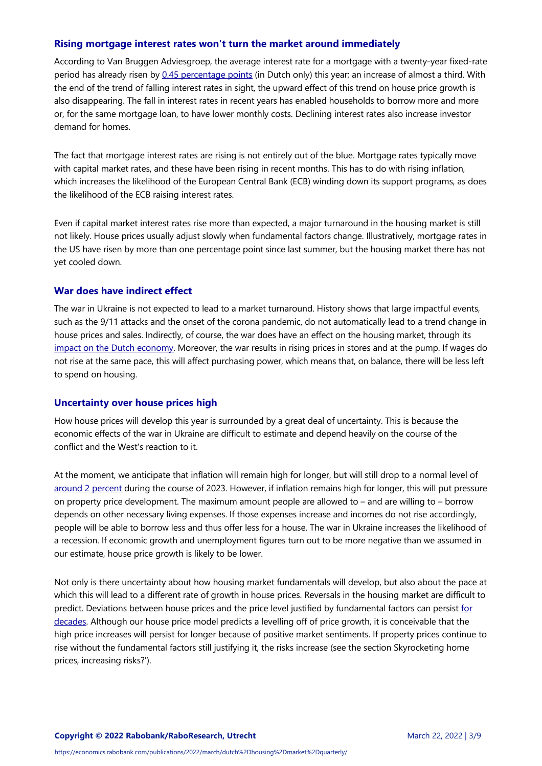#### **Rising mortgage interest rates won't turn the market around immediately**

According to Van Bruggen Adviesgroep, the average interest rate for a mortgage with a twenty‐year fixed‐rate period has already risen by [0.45 percentage points](https://www.vanbruggen.nl/actueel/nieuws/2022/februari/forse-hypotheekrentestijgingen-zetten-door) (in Dutch only) this year; an increase of almost a third. With the end of the trend of falling interest rates in sight, the upward effect of this trend on house price growth is also disappearing. The fall in interest rates in recent years has enabled households to borrow more and more or, for the same mortgage loan, to have lower monthly costs. Declining interest rates also increase investor demand for homes.

The fact that mortgage interest rates are rising is not entirely out of the blue. Mortgage rates typically move with capital market rates, and these have been rising in recent months. This has to do with rising inflation, which increases the likelihood of the European Central Bank (ECB) winding down its support programs, as does the likelihood of the ECB raising interest rates.

Even if capital market interest rates rise more than expected, a major turnaround in the housing market is still not likely. House prices usually adjust slowly when fundamental factors change. Illustratively, mortgage rates in the US have risen by more than one percentage point since last summer, but the housing market there has not yet cooled down.

#### **War does have indirect effect**

The war in Ukraine is not expected to lead to a market turnaround. History shows that large impactful events, such as the 9/11 attacks and the onset of the corona pandemic, do not automatically lead to a trend change in house prices and sales. Indirectly, of course, the war does have an effect on the housing market, through its [impact on the Dutch economy](https://economics.rabobank.com/publications/2022/march/economic-growth-in-the-netherlands-expected-to-weaken-due-to-war-in-ukraine/). Moreover, the war results in rising prices in stores and at the pump. If wages do not rise at the same pace, this will affect purchasing power, which means that, on balance, there will be less left to spend on housing.

#### **Uncertainty over house prices high**

How house prices will develop this year is surrounded by a great deal of uncertainty. This is because the economic effects of the war in Ukraine are difficult to estimate and depend heavily on the course of the conflict and the West's reaction to it.

At the moment, we anticipate that inflation will remain high for longer, but will still drop to a normal level of [around 2 percent](https://economics.rabobank.com/publications/2022/march/economic-growth-in-the-netherlands-expected-to-weaken-due-to-war-in-ukraine/) during the course of 2023. However, if inflation remains high for longer, this will put pressure on property price development. The maximum amount people are allowed to – and are willing to – borrow depends on other necessary living expenses. If those expenses increase and incomes do not rise accordingly, people will be able to borrow less and thus offer less for a house. The war in Ukraine increases the likelihood of a recession. If economic growth and unemployment figures turn out to be more negative than we assumed in our estimate, house price growth is likely to be lower.

Not only is there uncertainty about how housing market fundamentals will develop, but also about the pace at which this will lead to a different rate of growth in house prices. Reversals in the housing market are difficult to [predict. Deviations between house prices and the price level justified by fundamental factors can persist for](https://onlinelibrary.wiley.com/doi/abs/10.1111/jmcb.12011) decades. Although our house price model predicts a levelling off of price growth, it is conceivable that the high price increases will persist for longer because of positive market sentiments. If property prices continue to rise without the fundamental factors still justifying it, the risks increase (see the section Skyrocketing home prices, increasing risks?').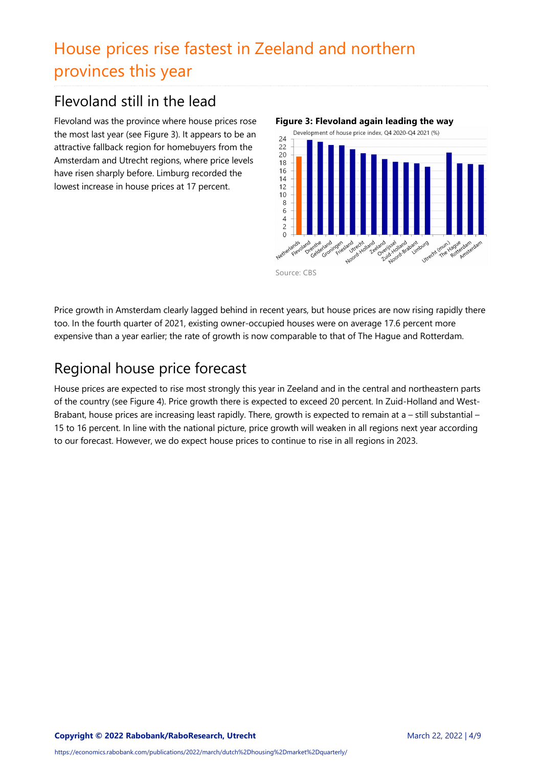# House prices rise fastest in Zeeland and northern provinces this year

## Flevoland still in the lead

Flevoland was the province where house prices rose the most last year (see Figure 3). It appears to be an attractive fallback region for homebuyers from the Amsterdam and Utrecht regions, where price levels have risen sharply before. Limburg recorded the lowest increase in house prices at 17 percent.



Source: CBS

Price growth in Amsterdam clearly lagged behind in recent years, but house prices are now rising rapidly there too. In the fourth quarter of 2021, existing owner‐occupied houses were on average 17.6 percent more expensive than a year earlier; the rate of growth is now comparable to that of The Hague and Rotterdam.

## Regional house price forecast

House prices are expected to rise most strongly this year in Zeeland and in the central and northeastern parts of the country (see Figure 4). Price growth there is expected to exceed 20 percent. In Zuid-Holland and West-Brabant, house prices are increasing least rapidly. There, growth is expected to remain at a – still substantial – 15 to 16 percent. In line with the national picture, price growth will weaken in all regions next year according to our forecast. However, we do expect house prices to continue to rise in all regions in 2023.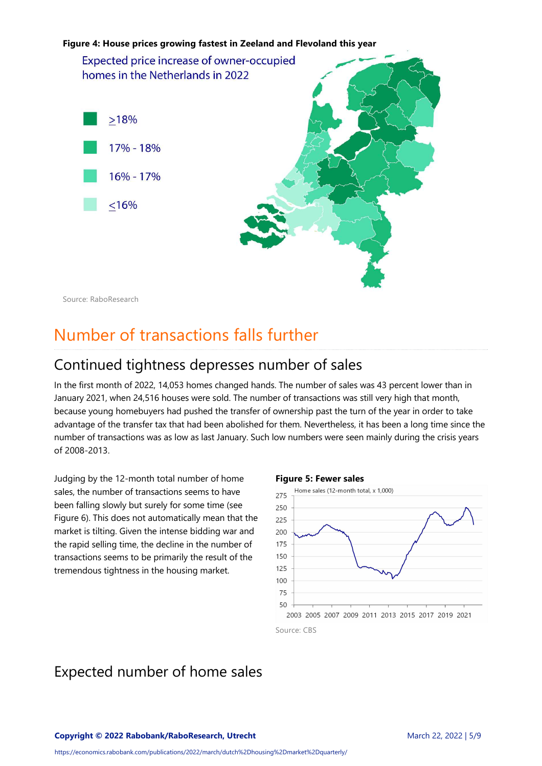

Source: RaboResearch

# Number of transactions falls further

### Continued tightness depresses number of sales

In the first month of 2022, 14,053 homes changed hands. The number of sales was 43 percent lower than in January 2021, when 24,516 houses were sold. The number of transactions was still very high that month, because young homebuyers had pushed the transfer of ownership past the turn of the year in order to take advantage of the transfer tax that had been abolished for them. Nevertheless, it has been a long time since the number of transactions was as low as last January. Such low numbers were seen mainly during the crisis years of 2008‐2013.

Judging by the 12‐month total number of home sales, the number of transactions seems to have been falling slowly but surely for some time (see Figure 6). This does not automatically mean that the market is tilting. Given the intense bidding war and the rapid selling time, the decline in the number of transactions seems to be primarily the result of the tremendous tightness in the housing market.

#### **Figure 5: Fewer sales**



### Expected number of home sales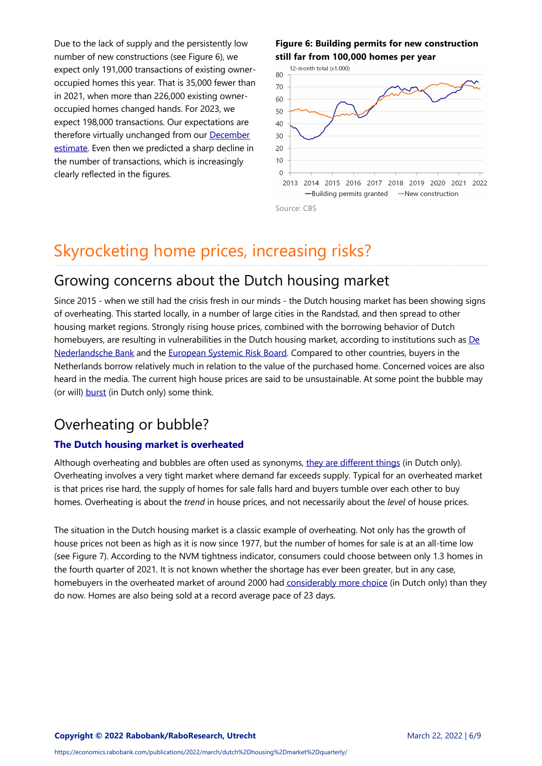Due to the lack of supply and the persistently low number of new constructions (see Figure 6), we expect only 191,000 transactions of existing owner‐ occupied homes this year. That is 35,000 fewer than in 2021, when more than 226,000 existing owner‐ occupied homes changed hands. For 2023, we expect 198,000 transactions. Our expectations are [therefore virtually unchanged from our December](https://economics.rabobank.com/publications/2021/december/price-growth-hit-its-peak-but-dutch-housing-market-is-far-from-cooling-down/) estimate. Even then we predicted a sharp decline in the number of transactions, which is increasingly clearly reflected in the figures.

#### **Figure 6: Building permits for new construction still far from 100,000 homes per year**



## Skyrocketing home prices, increasing risks?

### Growing concerns about the Dutch housing market

Since 2015 - when we still had the crisis fresh in our minds - the Dutch housing market has been showing signs of overheating. This started locally, in a number of large cities in the Randstad, and then spread to other housing market regions. Strongly rising house prices, combined with the borrowing behavior of Dutch [homebuyers, are resulting in vulnerabilities in the Dutch housing market, according to institutions such as De](https://www.dnb.nl/media/hgcpgpsx/ofs-voorjaar-2021.pdf) Nederlandsche Bank and the [European Systemic Risk Board.](https://www.esrb.europa.eu/news/pr/date/2022/html/esrb.pr220211~9393d5e991.en.html) Compared to other countries, buyers in the Netherlands borrow relatively much in relation to the value of the purchased home. Concerned voices are also heard in the media. The current high house prices are said to be unsustainable. At some point the bubble may (or will) [burst](https://fd.nl/economie-politiek/1390759/er-is-een-uitslaande-brand-op-de-huizenmarkt-en-we-blussen-die-met-olie-pub2cak6a46H) (in Dutch only) some think.

### Overheating or bubble?

### **The Dutch housing market is overheated**

Although overheating and bubbles are often used as synonyms, [they are different things](https://www.cpb.nl/publicatie/oververhitting-op-de-nederlandse-huizenmarkt/CPB-Achtergronddocument-1jun2018-Oververhitting-op-de-nederlandse-huizenmarkt.pdf) (in Dutch only). Overheating involves a very tight market where demand far exceeds supply. Typical for an overheated market is that prices rise hard, the supply of homes for sale falls hard and buyers tumble over each other to buy homes. Overheating is about the *trend* in house prices, and not necessarily about the *level* of house prices.

The situation in the Dutch housing market is a classic example of overheating. Not only has the growth of house prices not been as high as it is now since 1977, but the number of homes for sale is at an all-time low (see Figure 7). According to the NVM tightness indicator, consumers could choose between only 1.3 homes in the fourth quarter of 2021. It is not known whether the shortage has ever been greater, but in any case, homebuyers in the overheated market of around 2000 had [considerably more choice](https://www.nvm.nl/media/fhoi5mot/bijlage-i-analyse-woningmarkt-3e-kwartaal-2020-3.pdf) (in Dutch only) than they do now. Homes are also being sold at a record average pace of 23 days.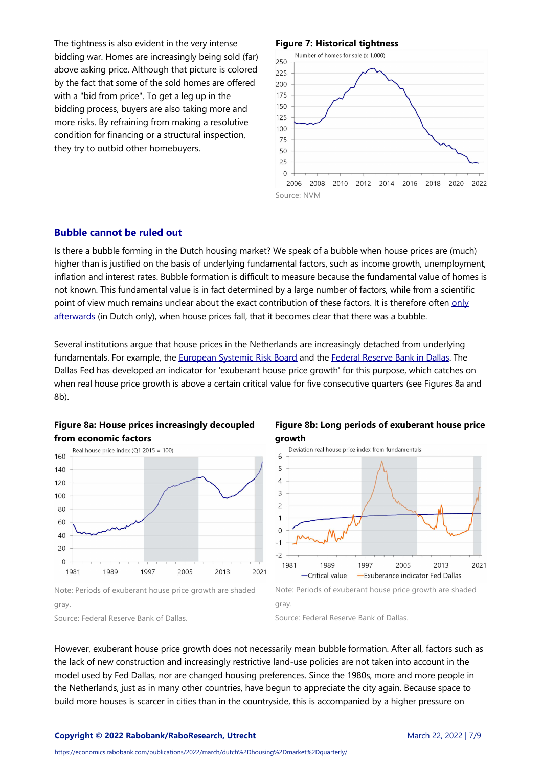The tightness is also evident in the very intense bidding war. Homes are increasingly being sold (far) above asking price. Although that picture is colored by the fact that some of the sold homes are offered with a "bid from price". To get a leg up in the bidding process, buyers are also taking more and more risks. By refraining from making a resolutive condition for financing or a structural inspection, they try to outbid other homebuyers.

#### **Figure 7: Historical tightness**



#### **Bubble cannot be ruled out**

Is there a bubble forming in the Dutch housing market? We speak of a bubble when house prices are (much) higher than is justified on the basis of underlying fundamental factors, such as income growth, unemployment, inflation and interest rates. Bubble formation is difficult to measure because the fundamental value of homes is not known. This fundamental value is in fact determined by a large number of factors, while from a scientific [point of view much remains unclear about the exact contribution of these factors. It is therefore often only](https://www.cpb.nl/publicatie/oververhitting-op-de-nederlandse-huizenmarkt/CPB-Achtergronddocument-1jun2018-Oververhitting-op-de-nederlandse-huizenmarkt.pdf) afterwards (in Dutch only), when house prices fall, that it becomes clear that there was a bubble.

Several institutions argue that house prices in the Netherlands are increasingly detached from underlying fundamentals. For example, the [European Systemic Risk Board](https://www.esrb.europa.eu/pub/pdf/reports/esrb.report220211_vulnerabilities_eea_countries~27e571112b.en.pdf?cb8132dc3e0f0f53a4fce3292a690bd6) and the [Federal Reserve Bank in Dallas](https://dallasfed.frswebservices.org/~/media/documents/institute/wpapers/2013/0165.pdf). The Dallas Fed has developed an indicator for 'exuberant house price growth' for this purpose, which catches on when real house price growth is above a certain critical value for five consecutive quarters (see Figures 8a and 8b).





**Figure 8b: Long periods of exuberant house price growth**



Source: Federal Reserve Bank of Dallas.

gray.

Source: Federal Reserve Bank of Dallas.

However, exuberant house price growth does not necessarily mean bubble formation. After all, factors such as the lack of new construction and increasingly restrictive land‐use policies are not taken into account in the model used by Fed Dallas, nor are changed housing preferences. Since the 1980s, more and more people in the Netherlands, just as in many other countries, have begun to appreciate the city again. Because space to build more houses is scarcer in cities than in the countryside, this is accompanied by a higher pressure on

**Copyright © 2022 Rabobank/RaboResearch, Utrecht**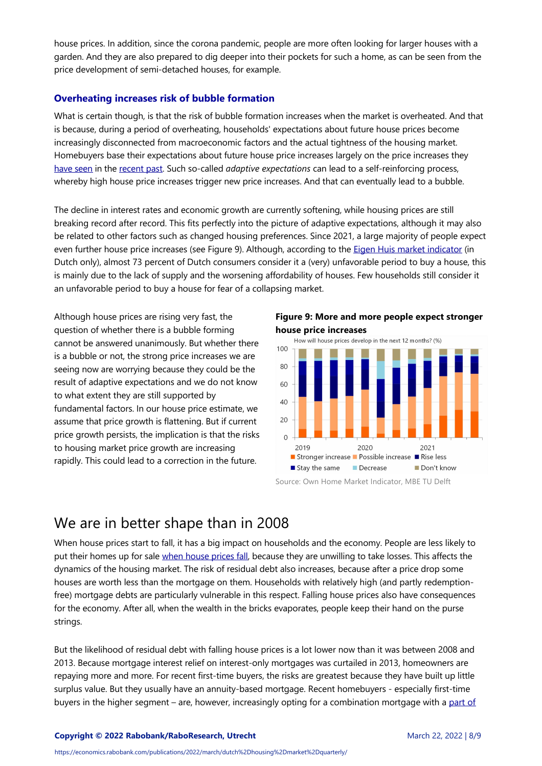house prices. In addition, since the corona pandemic, people are more often looking for larger houses with a garden. And they are also prepared to dig deeper into their pockets for such a home, as can be seen from the price development of semi‐detached houses, for example.

#### **Overheating increases risk of bubble formation**

What is certain though, is that the risk of bubble formation increases when the market is overheated. And that is because, during a period of overheating, households' expectations about future house prices become increasingly disconnected from macroeconomic factors and the actual tightness of the housing market. Homebuyers base their expectations about future house price increases largely on the price increases they [have seen](https://www.brookings.edu/wp-content/uploads/2016/07/2012_Case.pdf) in the [recent past](https://www.brookings.edu/wp-content/uploads/2016/07/2012_Case.pdf). Such so-called *adaptive expectations* can lead to a self-reinforcing process, whereby high house price increases trigger new price increases. And that can eventually lead to a bubble.

The decline in interest rates and economic growth are currently softening, while housing prices are still breaking record after record. This fits perfectly into the picture of adaptive expectations, although it may also be related to other factors such as changed housing preferences. Since 2021, a large majority of people expect even further house price increases (see Figure 9). Although, according to the [Eigen Huis market indicator](https://d2k0ddhflgrk1i.cloudfront.net/BK/Over_de_faculteit/Afdelingen/OTB_-_Research_for_the_built_environment/Expertise_woningwaarde/VEH_Marktindicator/2021-4%20VEH%20marktindicator%204e%20kwartaal%202021.pdf) (in Dutch only), almost 73 percent of Dutch consumers consider it a (very) unfavorable period to buy a house, this is mainly due to the lack of supply and the worsening affordability of houses. Few households still consider it an unfavorable period to buy a house for fear of a collapsing market.

Although house prices are rising very fast, the question of whether there is a bubble forming cannot be answered unanimously. But whether there is a bubble or not, the strong price increases we are seeing now are worrying because they could be the result of adaptive expectations and we do not know to what extent they are still supported by fundamental factors. In our house price estimate, we assume that price growth is flattening. But if current price growth persists, the implication is that the risks to housing market price growth are increasing rapidly. This could lead to a correction in the future.

**Figure 9: More and more people expect stronger house price increases**



Source: Own Home Market Indicator, MBE TU Delft

### We are in better shape than in 2008

When house prices start to fall, it has a big impact on households and the economy. People are less likely to put their homes up for sale [when house prices fall](https://papers.ssrn.com/sol3/papers.cfm?abstract_id=3191604), because they are unwilling to take losses. This affects the dynamics of the housing market. The risk of residual debt also increases, because after a price drop some houses are worth less than the mortgage on them. Households with relatively high (and partly redemptionfree) mortgage debts are particularly vulnerable in this respect. Falling house prices also have consequences for the economy. After all, when the wealth in the bricks evaporates, people keep their hand on the purse strings.

But the likelihood of residual debt with falling house prices is a lot lower now than it was between 2008 and 2013. Because mortgage interest relief on interest‐only mortgages was curtailed in 2013, homeowners are repaying more and more. For recent first-time buyers, the risks are greatest because they have built up little surplus value. But they usually have an annuity-based mortgage. Recent homebuyers - especially first-time [buyers in the higher segment – are, however, increasingly opting for a combination mortgage with a part of](https://www.hdn.nl/jaaroverzicht-2021/)

**Copyright © 2022 Rabobank/RaboResearch, Utrecht**